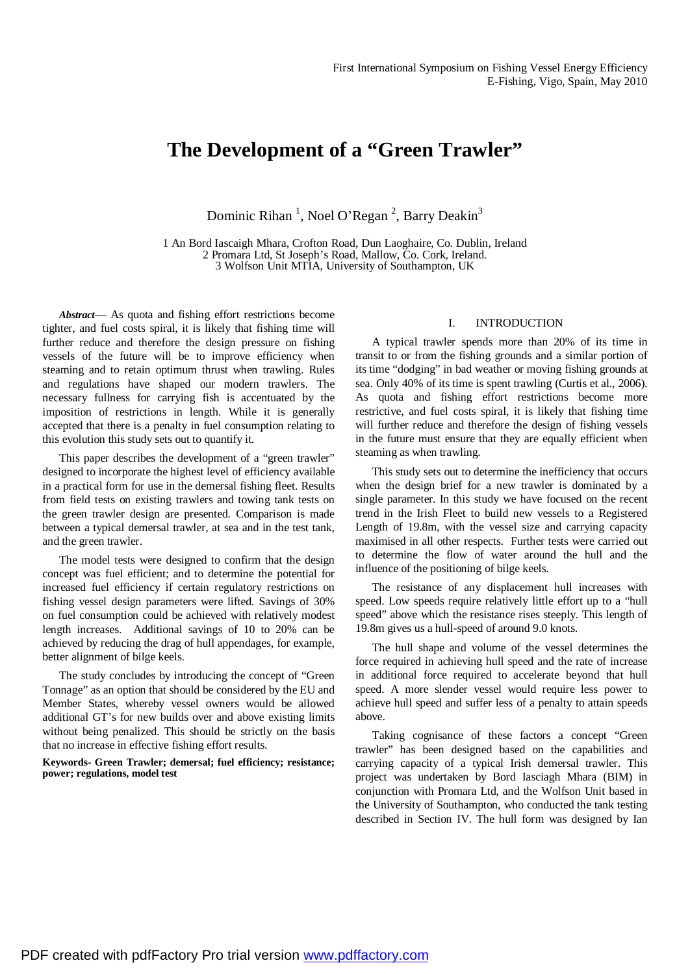# **The Development of a "Green Trawler"**

Dominic Rihan<sup>1</sup>, Noel O'Regan<sup>2</sup>, Barry Deakin<sup>3</sup>

1 An Bord Iascaigh Mhara, Crofton Road, Dun Laoghaire, Co. Dublin, Ireland 2 Promara Ltd, St Joseph's Road, Mallow, Co. Cork, Ireland. 3 Wolfson Unit MTIA, University of Southampton, UK

*Abstract*— As quota and fishing effort restrictions become tighter, and fuel costs spiral, it is likely that fishing time will further reduce and therefore the design pressure on fishing vessels of the future will be to improve efficiency when steaming and to retain optimum thrust when trawling. Rules and regulations have shaped our modern trawlers. The necessary fullness for carrying fish is accentuated by the imposition of restrictions in length. While it is generally accepted that there is a penalty in fuel consumption relating to this evolution this study sets out to quantify it.

This paper describes the development of a "green trawler" designed to incorporate the highest level of efficiency available in a practical form for use in the demersal fishing fleet. Results from field tests on existing trawlers and towing tank tests on the green trawler design are presented. Comparison is made between a typical demersal trawler, at sea and in the test tank, and the green trawler.

The model tests were designed to confirm that the design concept was fuel efficient; and to determine the potential for increased fuel efficiency if certain regulatory restrictions on fishing vessel design parameters were lifted. Savings of 30% on fuel consumption could be achieved with relatively modest length increases. Additional savings of 10 to 20% can be achieved by reducing the drag of hull appendages, for example, better alignment of bilge keels.

The study concludes by introducing the concept of "Green Tonnage" as an option that should be considered by the EU and Member States, whereby vessel owners would be allowed additional GT's for new builds over and above existing limits without being penalized. This should be strictly on the basis that no increase in effective fishing effort results.

**Keywords- Green Trawler; demersal; fuel efficiency; resistance; power; regulations, model test** 

# I. INTRODUCTION

A typical trawler spends more than 20% of its time in transit to or from the fishing grounds and a similar portion of its time "dodging" in bad weather or moving fishing grounds at sea. Only 40% of its time is spent trawling (Curtis et al., 2006). As quota and fishing effort restrictions become more restrictive, and fuel costs spiral, it is likely that fishing time will further reduce and therefore the design of fishing vessels in the future must ensure that they are equally efficient when steaming as when trawling.

This study sets out to determine the inefficiency that occurs when the design brief for a new trawler is dominated by a single parameter. In this study we have focused on the recent trend in the Irish Fleet to build new vessels to a Registered Length of 19.8m, with the vessel size and carrying capacity maximised in all other respects. Further tests were carried out to determine the flow of water around the hull and the influence of the positioning of bilge keels.

The resistance of any displacement hull increases with speed. Low speeds require relatively little effort up to a "hull speed" above which the resistance rises steeply. This length of 19.8m gives us a hull-speed of around 9.0 knots.

The hull shape and volume of the vessel determines the force required in achieving hull speed and the rate of increase in additional force required to accelerate beyond that hull speed. A more slender vessel would require less power to achieve hull speed and suffer less of a penalty to attain speeds above.

Taking cognisance of these factors a concept "Green trawler" has been designed based on the capabilities and carrying capacity of a typical Irish demersal trawler. This project was undertaken by Bord Iasciagh Mhara (BIM) in conjunction with Promara Ltd, and the Wolfson Unit based in the University of Southampton, who conducted the tank testing described in Section IV. The hull form was designed by Ian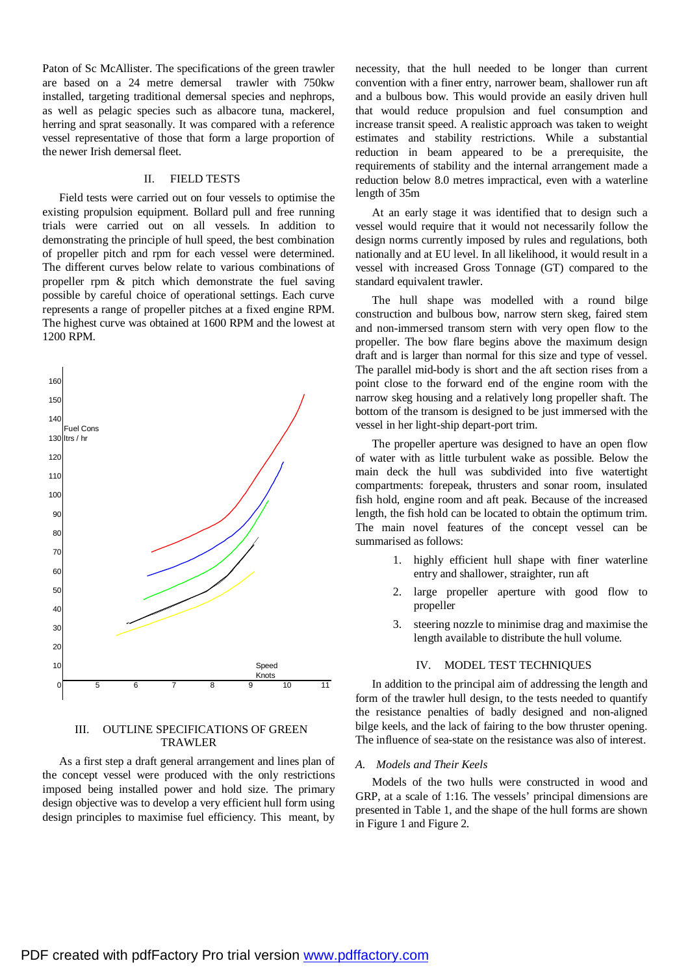Paton of Sc McAllister. The specifications of the green trawler are based on a 24 metre demersal trawler with 750kw installed, targeting traditional demersal species and nephrops, as well as pelagic species such as albacore tuna, mackerel, herring and sprat seasonally. It was compared with a reference vessel representative of those that form a large proportion of the newer Irish demersal fleet.

# II. FIELD TESTS

Field tests were carried out on four vessels to optimise the existing propulsion equipment. Bollard pull and free running trials were carried out on all vessels. In addition to demonstrating the principle of hull speed, the best combination of propeller pitch and rpm for each vessel were determined. The different curves below relate to various combinations of propeller rpm & pitch which demonstrate the fuel saving possible by careful choice of operational settings. Each curve represents a range of propeller pitches at a fixed engine RPM. The highest curve was obtained at 1600 RPM and the lowest at 1200 RPM.



# III. OUTLINE SPECIFICATIONS OF GREEN TRAWLER

As a first step a draft general arrangement and lines plan of the concept vessel were produced with the only restrictions imposed being installed power and hold size. The primary design objective was to develop a very efficient hull form using design principles to maximise fuel efficiency. This meant, by necessity, that the hull needed to be longer than current convention with a finer entry, narrower beam, shallower run aft and a bulbous bow. This would provide an easily driven hull that would reduce propulsion and fuel consumption and increase transit speed. A realistic approach was taken to weight estimates and stability restrictions. While a substantial reduction in beam appeared to be a prerequisite, the requirements of stability and the internal arrangement made a reduction below 8.0 metres impractical, even with a waterline length of 35m

At an early stage it was identified that to design such a vessel would require that it would not necessarily follow the design norms currently imposed by rules and regulations, both nationally and at EU level. In all likelihood, it would result in a vessel with increased Gross Tonnage (GT) compared to the standard equivalent trawler.

The hull shape was modelled with a round bilge construction and bulbous bow, narrow stern skeg, faired stem and non-immersed transom stern with very open flow to the propeller. The bow flare begins above the maximum design draft and is larger than normal for this size and type of vessel. The parallel mid-body is short and the aft section rises from a point close to the forward end of the engine room with the narrow skeg housing and a relatively long propeller shaft. The bottom of the transom is designed to be just immersed with the vessel in her light-ship depart-port trim.

The propeller aperture was designed to have an open flow of water with as little turbulent wake as possible. Below the main deck the hull was subdivided into five watertight compartments: forepeak, thrusters and sonar room, insulated fish hold, engine room and aft peak. Because of the increased length, the fish hold can be located to obtain the optimum trim. The main novel features of the concept vessel can be summarised as follows:

- 1. highly efficient hull shape with finer waterline entry and shallower, straighter, run aft
- 2. large propeller aperture with good flow to propeller
- 3. steering nozzle to minimise drag and maximise the length available to distribute the hull volume.

# IV. MODEL TEST TECHNIQUES

In addition to the principal aim of addressing the length and form of the trawler hull design, to the tests needed to quantify the resistance penalties of badly designed and non-aligned bilge keels, and the lack of fairing to the bow thruster opening. The influence of sea-state on the resistance was also of interest.

# *A. Models and Their Keels*

Models of the two hulls were constructed in wood and GRP, at a scale of 1:16. The vessels' principal dimensions are presented in Table 1, and the shape of the hull forms are shown in Figure 1 and Figure 2.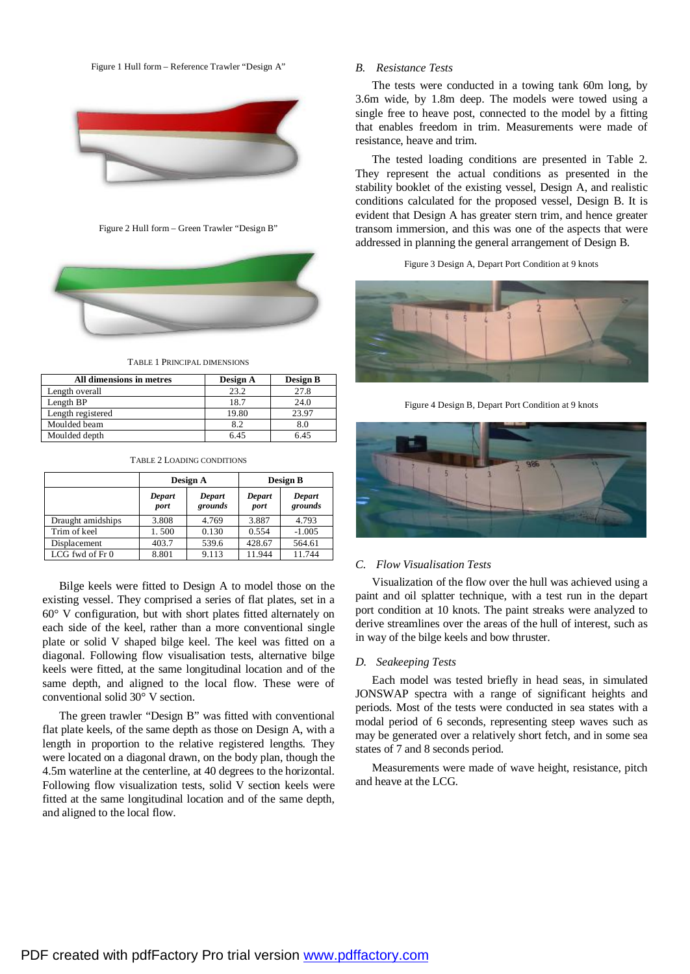Figure 1 Hull form – Reference Trawler "Design A"



Figure 2 Hull form – Green Trawler "Design B"





| All dimensions in metres | Design A | <b>Design B</b> |
|--------------------------|----------|-----------------|
| Length overall           | 23.2     | 27.8            |
| Length BP                | 18.7     | 24.0            |
| Length registered        | 19.80    | 23.97           |
| Moulded beam             | 8.2      | 8.0             |
| Moulded depth            | 645      | 6 45            |

|  |  |  | <b>TABLE 2 LOADING CONDITIONS</b> |
|--|--|--|-----------------------------------|
|--|--|--|-----------------------------------|

|                   | Design A       |                   | Design B       |                   |
|-------------------|----------------|-------------------|----------------|-------------------|
|                   | Depart<br>port | Depart<br>grounds | Depart<br>port | Depart<br>grounds |
| Draught amidships | 3.808          | 4.769             | 3.887          | 4.793             |
| Trim of keel      | 1.500          | 0.130             | 0.554          | $-1.005$          |
| Displacement      | 403.7          | 539.6             | 428.67         | 564.61            |
| LCG fwd of Fr 0   | 8.801          | 9.113             | 11.944         | 11.744            |

Bilge keels were fitted to Design A to model those on the existing vessel. They comprised a series of flat plates, set in a 60° V configuration, but with short plates fitted alternately on each side of the keel, rather than a more conventional single plate or solid V shaped bilge keel. The keel was fitted on a diagonal. Following flow visualisation tests, alternative bilge keels were fitted, at the same longitudinal location and of the same depth, and aligned to the local flow. These were of conventional solid 30° V section.

The green trawler "Design B" was fitted with conventional flat plate keels, of the same depth as those on Design A, with a length in proportion to the relative registered lengths. They were located on a diagonal drawn, on the body plan, though the 4.5m waterline at the centerline, at 40 degrees to the horizontal. Following flow visualization tests, solid V section keels were fitted at the same longitudinal location and of the same depth, and aligned to the local flow.

# *B. Resistance Tests*

The tests were conducted in a towing tank 60m long, by 3.6m wide, by 1.8m deep. The models were towed using a single free to heave post, connected to the model by a fitting that enables freedom in trim. Measurements were made of resistance, heave and trim.

The tested loading conditions are presented in Table 2. They represent the actual conditions as presented in the stability booklet of the existing vessel, Design A, and realistic conditions calculated for the proposed vessel, Design B. It is evident that Design A has greater stern trim, and hence greater transom immersion, and this was one of the aspects that were addressed in planning the general arrangement of Design B.

Figure 3 Design A, Depart Port Condition at 9 knots



Figure 4 Design B, Depart Port Condition at 9 knots



## *C. Flow Visualisation Tests*

Visualization of the flow over the hull was achieved using a paint and oil splatter technique, with a test run in the depart port condition at 10 knots. The paint streaks were analyzed to derive streamlines over the areas of the hull of interest, such as in way of the bilge keels and bow thruster.

#### *D. Seakeeping Tests*

Each model was tested briefly in head seas, in simulated JONSWAP spectra with a range of significant heights and periods. Most of the tests were conducted in sea states with a modal period of 6 seconds, representing steep waves such as may be generated over a relatively short fetch, and in some sea states of 7 and 8 seconds period.

Measurements were made of wave height, resistance, pitch and heave at the LCG.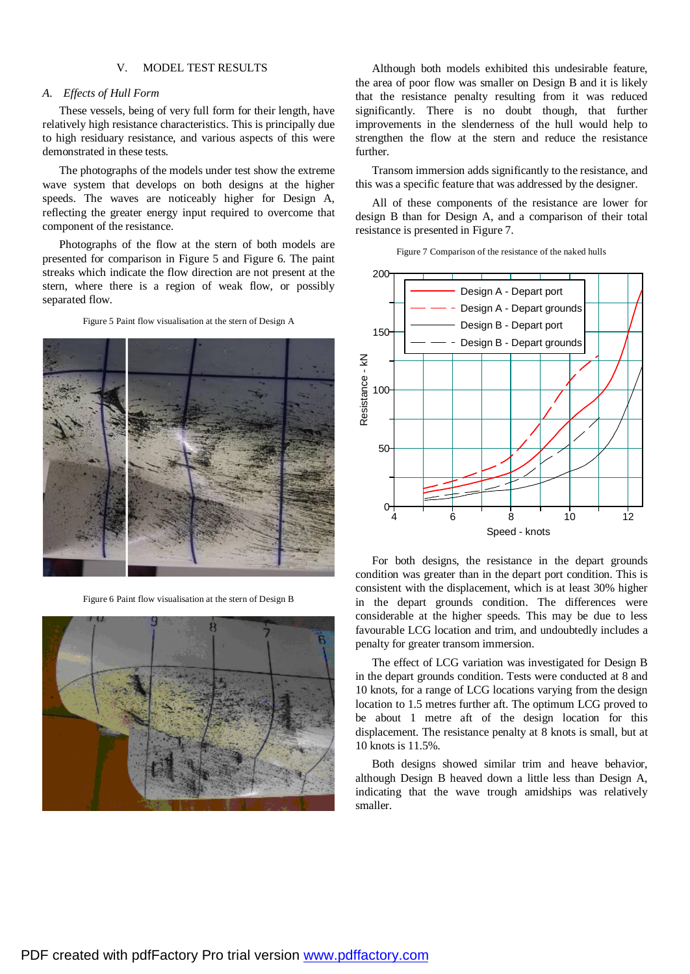# V. MODEL TEST RESULTS

### *A. Effects of Hull Form*

These vessels, being of very full form for their length, have relatively high resistance characteristics. This is principally due to high residuary resistance, and various aspects of this were demonstrated in these tests.

The photographs of the models under test show the extreme wave system that develops on both designs at the higher speeds. The waves are noticeably higher for Design A, reflecting the greater energy input required to overcome that component of the resistance.

Photographs of the flow at the stern of both models are presented for comparison in Figure 5 and Figure 6. The paint streaks which indicate the flow direction are not present at the stern, where there is a region of weak flow, or possibly separated flow.

Figure 5 Paint flow visualisation at the stern of Design A



Figure 6 Paint flow visualisation at the stern of Design B



Although both models exhibited this undesirable feature, the area of poor flow was smaller on Design B and it is likely that the resistance penalty resulting from it was reduced significantly. There is no doubt though, that further improvements in the slenderness of the hull would help to strengthen the flow at the stern and reduce the resistance further.

Transom immersion adds significantly to the resistance, and this was a specific feature that was addressed by the designer.

All of these components of the resistance are lower for design B than for Design A, and a comparison of their total resistance is presented in Figure 7.

| Figure 7 Comparison of the resistance of the naked hulls |
|----------------------------------------------------------|
|----------------------------------------------------------|



For both designs, the resistance in the depart grounds condition was greater than in the depart port condition. This is consistent with the displacement, which is at least 30% higher in the depart grounds condition. The differences were considerable at the higher speeds. This may be due to less favourable LCG location and trim, and undoubtedly includes a penalty for greater transom immersion.

The effect of LCG variation was investigated for Design B in the depart grounds condition. Tests were conducted at 8 and 10 knots, for a range of LCG locations varying from the design location to 1.5 metres further aft. The optimum LCG proved to be about 1 metre aft of the design location for this displacement. The resistance penalty at 8 knots is small, but at 10 knots is 11.5%.

Both designs showed similar trim and heave behavior, although Design B heaved down a little less than Design A, indicating that the wave trough amidships was relatively smaller.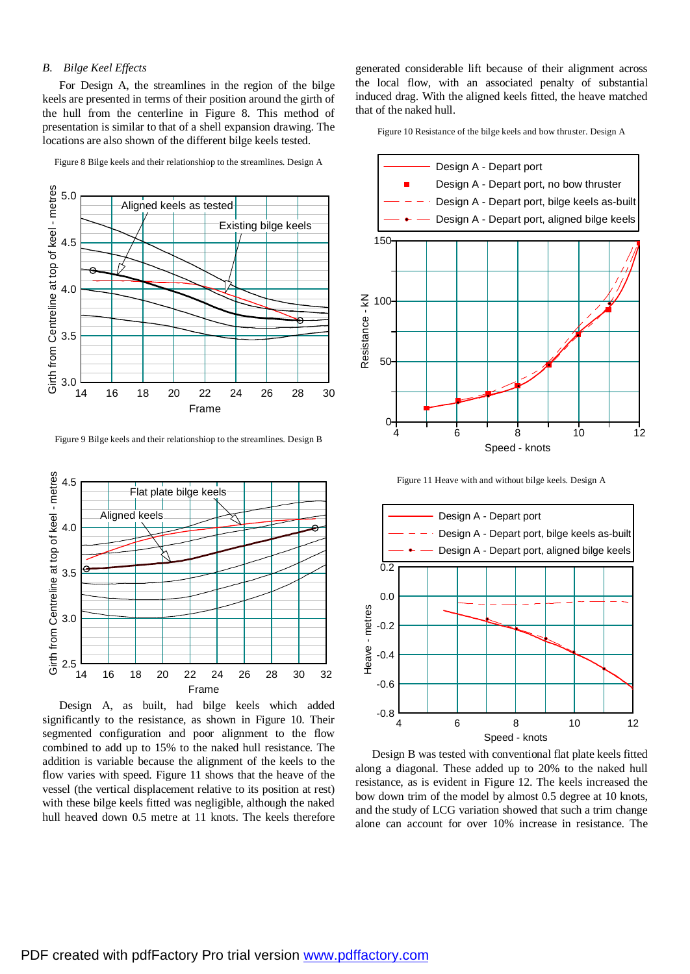# *B. Bilge Keel Effects*

For Design A, the streamlines in the region of the bilge keels are presented in terms of their position around the girth of the hull from the centerline in Figure 8. This method of presentation is similar to that of a shell expansion drawing. The locations are also shown of the different bilge keels tested.



Figure 8 Bilge keels and their relationshiop to the streamlines. Design A

Figure 9 Bilge keels and their relationshiop to the streamlines. Design B



Design A, as built, had bilge keels which added significantly to the resistance, as shown in Figure 10. Their segmented configuration and poor alignment to the flow combined to add up to 15% to the naked hull resistance. The addition is variable because the alignment of the keels to the flow varies with speed. Figure 11 shows that the heave of the vessel (the vertical displacement relative to its position at rest) with these bilge keels fitted was negligible, although the naked hull heaved down 0.5 metre at 11 knots. The keels therefore

generated considerable lift because of their alignment across the local flow, with an associated penalty of substantial induced drag. With the aligned keels fitted, the heave matched that of the naked hull.

Figure 10 Resistance of the bilge keels and bow thruster. Design A



Figure 11 Heave with and without bilge keels. Design A



Design B was tested with conventional flat plate keels fitted along a diagonal. These added up to 20% to the naked hull resistance, as is evident in Figure 12. The keels increased the bow down trim of the model by almost 0.5 degree at 10 knots, and the study of LCG variation showed that such a trim change alone can account for over 10% increase in resistance. The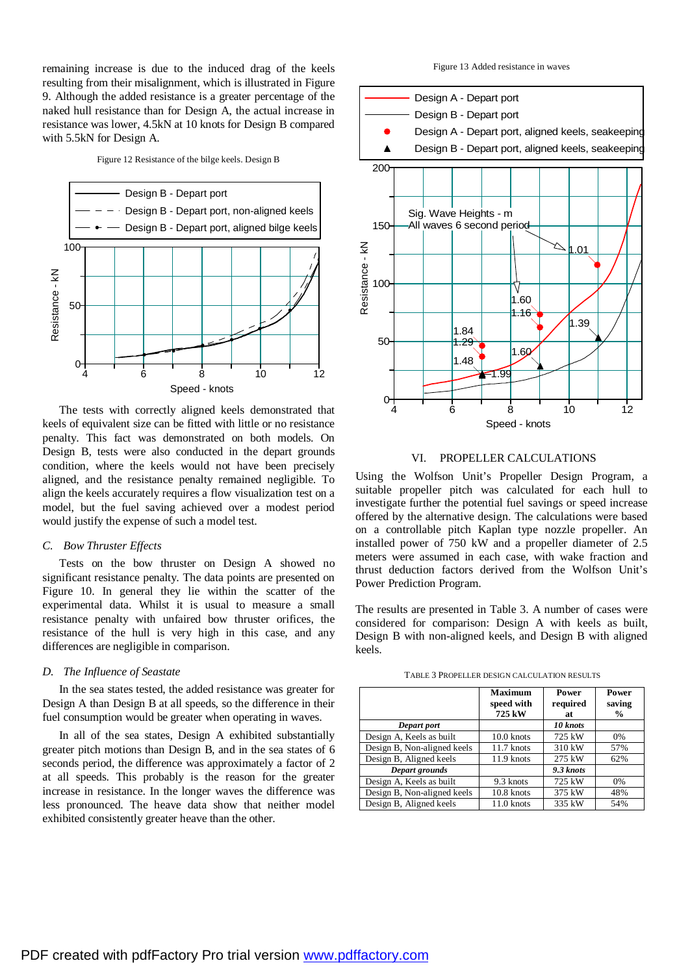remaining increase is due to the induced drag of the keels resulting from their misalignment, which is illustrated in Figure 9. Although the added resistance is a greater percentage of the naked hull resistance than for Design A, the actual increase in resistance was lower, 4.5kN at 10 knots for Design B compared with 5.5kN for Design A.

Figure 12 Resistance of the bilge keels. Design B



The tests with correctly aligned keels demonstrated that keels of equivalent size can be fitted with little or no resistance penalty. This fact was demonstrated on both models. On Design B, tests were also conducted in the depart grounds condition, where the keels would not have been precisely aligned, and the resistance penalty remained negligible. To align the keels accurately requires a flow visualization test on a model, but the fuel saving achieved over a modest period would justify the expense of such a model test.

# *C. Bow Thruster Effects*

Tests on the bow thruster on Design A showed no significant resistance penalty. The data points are presented on Figure 10. In general they lie within the scatter of the experimental data. Whilst it is usual to measure a small resistance penalty with unfaired bow thruster orifices, the resistance of the hull is very high in this case, and any differences are negligible in comparison.

## *D. The Influence of Seastate*

In the sea states tested, the added resistance was greater for Design A than Design B at all speeds, so the difference in their fuel consumption would be greater when operating in waves.

In all of the sea states, Design A exhibited substantially greater pitch motions than Design B, and in the sea states of 6 seconds period, the difference was approximately a factor of 2 at all speeds. This probably is the reason for the greater increase in resistance. In the longer waves the difference was less pronounced. The heave data show that neither model exhibited consistently greater heave than the other.

Figure 13 Added resistance in waves



# VI. PROPELLER CALCULATIONS

Using the Wolfson Unit's Propeller Design Program, a suitable propeller pitch was calculated for each hull to investigate further the potential fuel savings or speed increase offered by the alternative design. The calculations were based on a controllable pitch Kaplan type nozzle propeller. An installed power of 750 kW and a propeller diameter of 2.5 meters were assumed in each case, with wake fraction and thrust deduction factors derived from the Wolfson Unit's Power Prediction Program.

The results are presented in Table 3. A number of cases were considered for comparison: Design A with keels as built, Design B with non-aligned keels, and Design B with aligned keels.

TABLE 3 PROPELLER DESIGN CALCULATION RESULTS

|                             | <b>Maximum</b><br>speed with<br>725 kW | Power<br>required<br>at | Power<br>saving<br>$\frac{0}{0}$ |
|-----------------------------|----------------------------------------|-------------------------|----------------------------------|
| Depart port                 |                                        | 10 knots                |                                  |
| Design A, Keels as built    | $10.0$ knots                           | 725 kW                  | $0\%$                            |
| Design B, Non-aligned keels | 11.7 knots                             | 310 kW                  | 57%                              |
| Design B, Aligned keels     | 11.9 knots                             | 275 kW                  | 62%                              |
| Depart grounds              |                                        | 9.3 knots               |                                  |
| Design A, Keels as built    | 9.3 knots                              | 725 kW                  | 0%                               |
| Design B, Non-aligned keels | 10.8 knots                             | 375 kW                  | 48%                              |
| Design B, Aligned keels     | 11.0 knots                             | 335 kW                  | 54%                              |